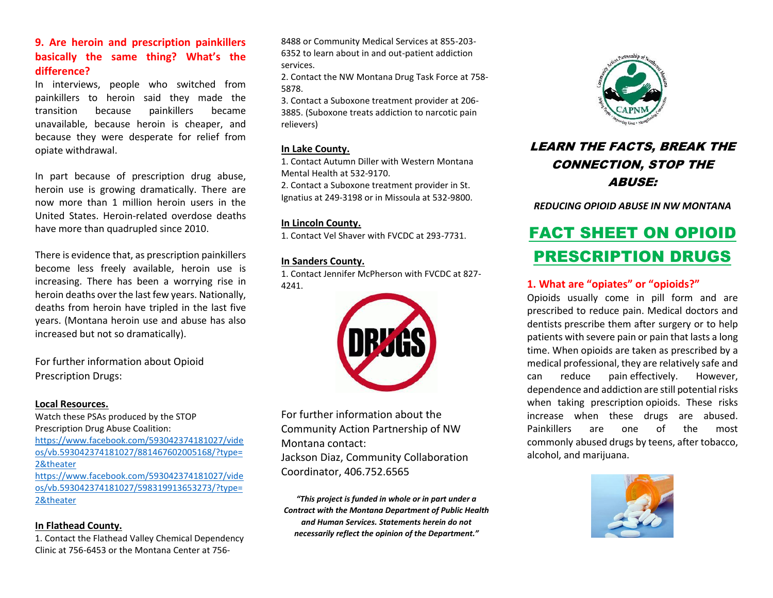## **9. Are heroin and prescription painkillers basically the same thing? What's the difference?**

In interviews, people who switched from painkillers to heroin said they made the transition because painkillers became unavailable, because heroin is cheaper, and because they were desperate for relief from opiate withdrawal.

In part because of prescription drug abuse, heroin use is growing dramatically. There are now more than 1 million heroin users in the United States. Heroin-related overdose deaths have more than quadrupled since 2010.

There is evidence that, as prescription painkillers become less freely available, heroin use is increasing. There has been a worrying rise in heroin deaths over the last few years. Nationally, deaths from heroin have tripled in the last five years. (Montana heroin use and abuse has also increased but not so dramatically).

For further information about Opioid Prescription Drugs:

#### **Local Resources.**

Watch these PSAs produced by the STOP Prescription Drug Abuse Coalition: [https://www.facebook.com/593042374181027/vide](https://www.facebook.com/593042374181027/videos/vb.593042374181027/881467602005168/?type=2&theater) [os/vb.593042374181027/881467602005168/?type=](https://www.facebook.com/593042374181027/videos/vb.593042374181027/881467602005168/?type=2&theater) [2&theater](https://www.facebook.com/593042374181027/videos/vb.593042374181027/881467602005168/?type=2&theater) [https://www.facebook.com/593042374181027/vide](https://www.facebook.com/593042374181027/videos/vb.593042374181027/598319913653273/?type=2&theater)

[os/vb.593042374181027/598319913653273/?type=](https://www.facebook.com/593042374181027/videos/vb.593042374181027/598319913653273/?type=2&theater) [2&theater](https://www.facebook.com/593042374181027/videos/vb.593042374181027/598319913653273/?type=2&theater)

#### **In Flathead County.**

1. Contact the Flathead Valley Chemical Dependency Clinic at 756-6453 or the Montana Center at 7568488 or Community Medical Services at 855-203- 6352 to learn about in and out-patient addiction services.

2. Contact the NW Montana Drug Task Force at 758- 5878.

3. Contact a Suboxone treatment provider at 206- 3885. (Suboxone treats addiction to narcotic pain relievers)

#### **In Lake County.**

1. Contact Autumn Diller with Western Montana Mental Health at 532-9170.

2. Contact a Suboxone treatment provider in St. Ignatius at 249-3198 or in Missoula at 532-9800.

#### **In Lincoln County.**

1. Contact Vel Shaver with FVCDC at 293-7731.

#### **In Sanders County.**

1. Contact Jennifer McPherson with FVCDC at 827- 4241.



For further information about the Community Action Partnership of NW Montana contact:

Jackson Diaz, Community Collaboration Coordinator, 406.752.6565

*"This project is funded in whole or in part under a Contract with the Montana Department of Public Health and Human Services. Statements herein do not necessarily reflect the opinion of the Department."*



## LEARN THE FACTS, BREAK THE CONNECTION, STOP THE ABUSE:

*REDUCING OPIOID ABUSE IN NW MONTANA*

# FACT SHEET ON OPIOID PRESCRIPTION DRUGS

## **1. What are "opiates" or "opioids?"**

Opioids usually come in pill form and are prescribed to reduce pain. Medical doctors and dentists prescribe them after surgery or to help patients with severe pain or pain that lasts a long time. When opioids are taken as prescribed by a medical professional, they are relatively safe and can reduce pain effectively. However, dependence and addiction are still potential risks when taking prescription opioids. These risks increase when these drugs are abused. Painkillers are one of the most commonly abused drugs by teens, after tobacco, alcohol, and marijuana.